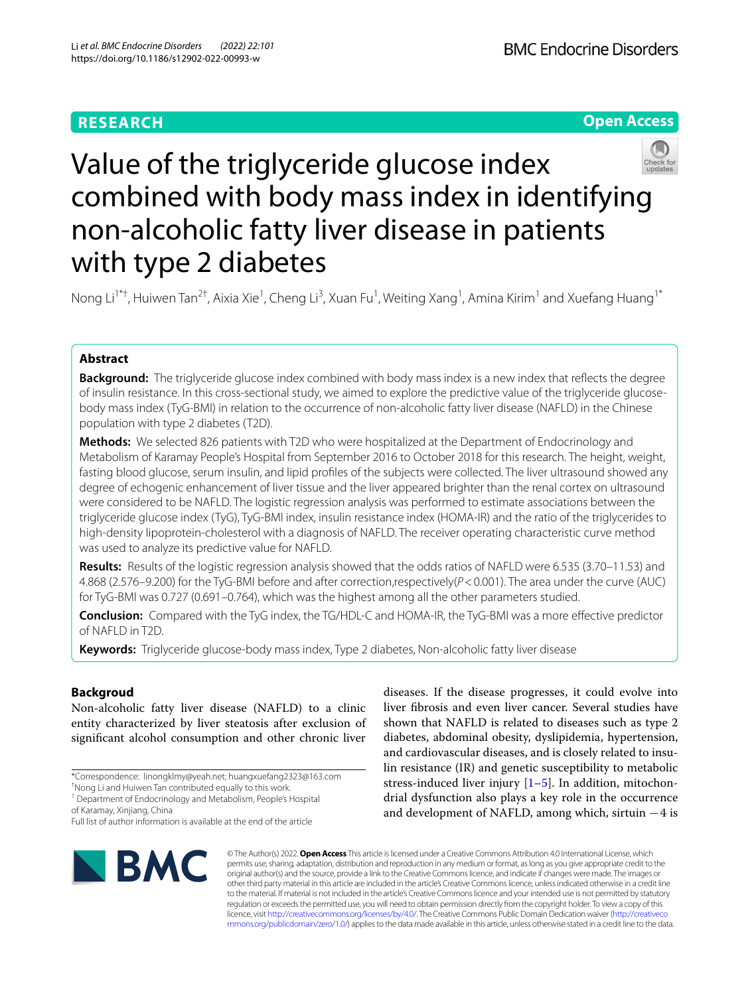# **RESEARCH**





# Value of the triglyceride glucose index combined with body mass index in identifying non-alcoholic fatty liver disease in patients with type 2 diabetes

Nong Li<sup>1\*†</sup>, Huiwen Tan<sup>2†</sup>, Aixia Xie<sup>1</sup>, Cheng Li<sup>3</sup>, Xuan Fu<sup>1</sup>, Weiting Xang<sup>1</sup>, Amina Kirim<sup>1</sup> and Xuefang Huang<sup>1\*</sup>

# **Abstract**

**Background:** The triglyceride glucose index combined with body mass index is a new index that refects the degree of insulin resistance. In this cross-sectional study, we aimed to explore the predictive value of the triglyceride glucosebody mass index (TyG-BMI) in relation to the occurrence of non-alcoholic fatty liver disease (NAFLD) in the Chinese population with type 2 diabetes (T2D).

**Methods:** We selected 826 patients with T2D who were hospitalized at the Department of Endocrinology and Metabolism of Karamay People's Hospital from September 2016 to October 2018 for this research. The height, weight, fasting blood glucose, serum insulin, and lipid profles of the subjects were collected. The liver ultrasound showed any degree of echogenic enhancement of liver tissue and the liver appeared brighter than the renal cortex on ultrasound were considered to be NAFLD. The logistic regression analysis was performed to estimate associations between the triglyceride glucose index (TyG), TyG-BMI index, insulin resistance index (HOMA-IR) and the ratio of the triglycerides to high-density lipoprotein-cholesterol with a diagnosis of NAFLD. The receiver operating characteristic curve method was used to analyze its predictive value for NAFLD.

**Results:** Results of the logistic regression analysis showed that the odds ratios of NAFLD were 6.535 (3.70–11.53) and 4.868 (2.576–9.200) for the TyG-BMI before and after correction,respectively(*P*<0.001). The area under the curve (AUC) for TyG-BMI was 0.727 (0.691–0.764), which was the highest among all the other parameters studied.

**Conclusion:** Compared with the TyG index, the TG/HDL-C and HOMA-IR, the TyG-BMI was a more efective predictor of NAFLD in T2D.

**Keywords:** Triglyceride glucose-body mass index, Type 2 diabetes, Non-alcoholic fatty liver disease

# **Backgroud**

Non-alcoholic fatty liver disease (NAFLD) to a clinic entity characterized by liver steatosis after exclusion of signifcant alcohol consumption and other chronic liver

† Nong Li and Huiwen Tan contributed equally to this work.

<sup>1</sup> Department of Endocrinology and Metabolism, People's Hospital of Karamay, Xinjiang, China

Full list of author information is available at the end of the article

diseases. If the disease progresses, it could evolve into liver fbrosis and even liver cancer. Several studies have shown that NAFLD is related to diseases such as type 2 diabetes, abdominal obesity, dyslipidemia, hypertension, and cardiovascular diseases, and is closely related to insulin resistance (IR) and genetic susceptibility to metabolic stress-induced liver injury  $[1–5]$  $[1–5]$  $[1–5]$ . In addition, mitochondrial dysfunction also plays a key role in the occurrence and development of NAFLD, among which, sirtuin  $-4$  is



© The Author(s) 2022. **Open Access** This article is licensed under a Creative Commons Attribution 4.0 International License, which permits use, sharing, adaptation, distribution and reproduction in any medium or format, as long as you give appropriate credit to the original author(s) and the source, provide a link to the Creative Commons licence, and indicate if changes were made. The images or other third party material in this article are included in the article's Creative Commons licence, unless indicated otherwise in a credit line to the material. If material is not included in the article's Creative Commons licence and your intended use is not permitted by statutory regulation or exceeds the permitted use, you will need to obtain permission directly from the copyright holder. To view a copy of this licence, visit [http://creativecommons.org/licenses/by/4.0/.](http://creativecommons.org/licenses/by/4.0/) The Creative Commons Public Domain Dedication waiver ([http://creativeco](http://creativecommons.org/publicdomain/zero/1.0/) [mmons.org/publicdomain/zero/1.0/](http://creativecommons.org/publicdomain/zero/1.0/)) applies to the data made available in this article, unless otherwise stated in a credit line to the data.

<sup>\*</sup>Correspondence: linongklmy@yeah.net; huangxuefang2323@163.com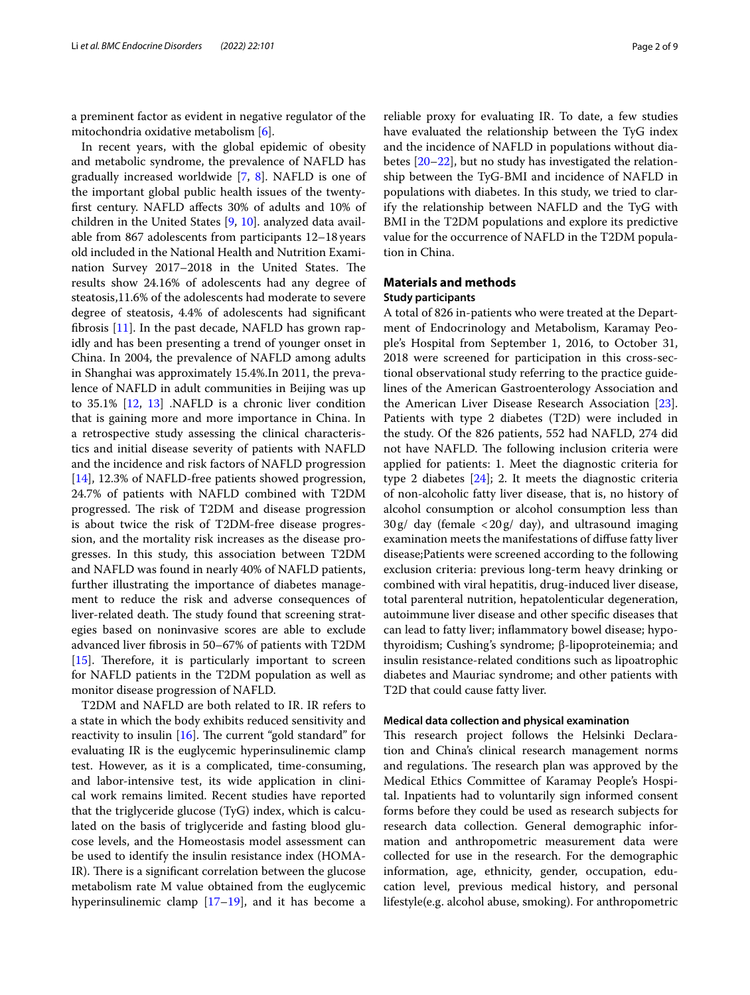a preminent factor as evident in negative regulator of the mitochondria oxidative metabolism [[6\]](#page-7-2).

In recent years, with the global epidemic of obesity and metabolic syndrome, the prevalence of NAFLD has gradually increased worldwide [\[7](#page-7-3), [8](#page-7-4)]. NAFLD is one of the important global public health issues of the twentyfrst century. NAFLD afects 30% of adults and 10% of children in the United States [\[9](#page-7-5), [10](#page-8-0)]. analyzed data available from 867 adolescents from participants 12–18 years old included in the National Health and Nutrition Examination Survey 2017–2018 in the United States. The results show 24.16% of adolescents had any degree of steatosis,11.6% of the adolescents had moderate to severe degree of steatosis, 4.4% of adolescents had signifcant fbrosis [[11](#page-8-1)]. In the past decade, NAFLD has grown rapidly and has been presenting a trend of younger onset in China. In 2004, the prevalence of NAFLD among adults in Shanghai was approximately 15.4%.In 2011, the prevalence of NAFLD in adult communities in Beijing was up to 35.1% [[12,](#page-8-2) [13](#page-8-3)] .NAFLD is a chronic liver condition that is gaining more and more importance in China. In a retrospective study assessing the clinical characteristics and initial disease severity of patients with NAFLD and the incidence and risk factors of NAFLD progression [[14\]](#page-8-4), 12.3% of NAFLD-free patients showed progression, 24.7% of patients with NAFLD combined with T2DM progressed. The risk of T2DM and disease progression is about twice the risk of T2DM-free disease progression, and the mortality risk increases as the disease progresses. In this study, this association between T2DM and NAFLD was found in nearly 40% of NAFLD patients, further illustrating the importance of diabetes management to reduce the risk and adverse consequences of liver-related death. The study found that screening strategies based on noninvasive scores are able to exclude advanced liver fbrosis in 50–67% of patients with T2DM [[15\]](#page-8-5). Therefore, it is particularly important to screen for NAFLD patients in the T2DM population as well as monitor disease progression of NAFLD.

T2DM and NAFLD are both related to IR. IR refers to a state in which the body exhibits reduced sensitivity and reactivity to insulin  $[16]$  $[16]$ . The current "gold standard" for evaluating IR is the euglycemic hyperinsulinemic clamp test. However, as it is a complicated, time-consuming, and labor-intensive test, its wide application in clinical work remains limited. Recent studies have reported that the triglyceride glucose (TyG) index, which is calculated on the basis of triglyceride and fasting blood glucose levels, and the Homeostasis model assessment can be used to identify the insulin resistance index (HOMA-IR). There is a significant correlation between the glucose metabolism rate M value obtained from the euglycemic hyperinsulinemic clamp  $[17–19]$  $[17–19]$ , and it has become a reliable proxy for evaluating IR. To date, a few studies have evaluated the relationship between the TyG index and the incidence of NAFLD in populations without diabetes [[20–](#page-8-9)[22](#page-8-10)], but no study has investigated the relationship between the TyG-BMI and incidence of NAFLD in populations with diabetes. In this study, we tried to clarify the relationship between NAFLD and the TyG with BMI in the T2DM populations and explore its predictive value for the occurrence of NAFLD in the T2DM population in China.

# **Materials and methods**

# **Study participants**

A total of 826 in-patients who were treated at the Department of Endocrinology and Metabolism, Karamay People's Hospital from September 1, 2016, to October 31, 2018 were screened for participation in this cross-sectional observational study referring to the practice guidelines of the American Gastroenterology Association and the American Liver Disease Research Association [\[23](#page-8-11)]. Patients with type 2 diabetes (T2D) were included in the study. Of the 826 patients, 552 had NAFLD, 274 did not have NAFLD. The following inclusion criteria were applied for patients: 1. Meet the diagnostic criteria for type 2 diabetes [\[24](#page-8-12)]; 2. It meets the diagnostic criteria of non-alcoholic fatty liver disease, that is, no history of alcohol consumption or alcohol consumption less than  $30g/day$  (female  $\langle 20g/day \rangle$ , and ultrasound imaging examination meets the manifestations of difuse fatty liver disease;Patients were screened according to the following exclusion criteria: previous long-term heavy drinking or combined with viral hepatitis, drug-induced liver disease, total parenteral nutrition, hepatolenticular degeneration, autoimmune liver disease and other specifc diseases that can lead to fatty liver; infammatory bowel disease; hypothyroidism; Cushing's syndrome; β-lipoproteinemia; and insulin resistance-related conditions such as lipoatrophic diabetes and Mauriac syndrome; and other patients with T2D that could cause fatty liver.

## **Medical data collection and physical examination**

This research project follows the Helsinki Declaration and China's clinical research management norms and regulations. The research plan was approved by the Medical Ethics Committee of Karamay People's Hospital. Inpatients had to voluntarily sign informed consent forms before they could be used as research subjects for research data collection. General demographic information and anthropometric measurement data were collected for use in the research. For the demographic information, age, ethnicity, gender, occupation, education level, previous medical history, and personal lifestyle(e.g. alcohol abuse, smoking). For anthropometric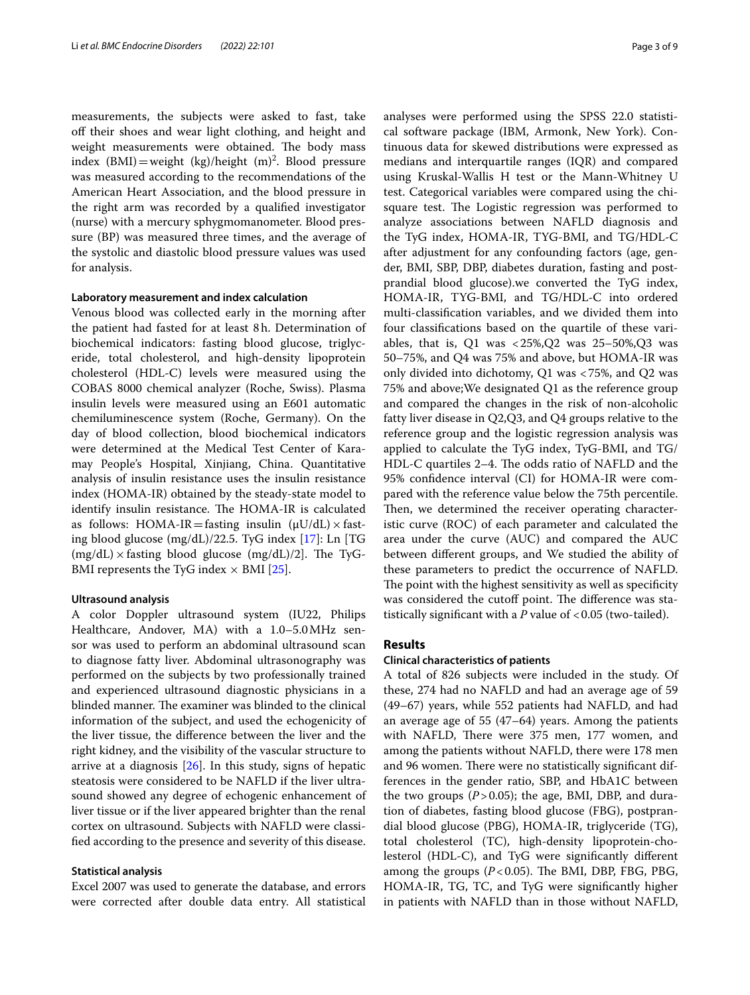measurements, the subjects were asked to fast, take off their shoes and wear light clothing, and height and weight measurements were obtained. The body mass index  $(BMI)$  = weight  $(kg)/\text{height}$   $(m)^2$ . Blood pressure was measured according to the recommendations of the American Heart Association, and the blood pressure in the right arm was recorded by a qualifed investigator (nurse) with a mercury sphygmomanometer. Blood pressure (BP) was measured three times, and the average of the systolic and diastolic blood pressure values was used for analysis.

## **Laboratory measurement and index calculation**

Venous blood was collected early in the morning after the patient had fasted for at least 8h. Determination of biochemical indicators: fasting blood glucose, triglyceride, total cholesterol, and high-density lipoprotein cholesterol (HDL-C) levels were measured using the COBAS 8000 chemical analyzer (Roche, Swiss). Plasma insulin levels were measured using an E601 automatic chemiluminescence system (Roche, Germany). On the day of blood collection, blood biochemical indicators were determined at the Medical Test Center of Karamay People's Hospital, Xinjiang, China. Quantitative analysis of insulin resistance uses the insulin resistance index (HOMA-IR) obtained by the steady-state model to identify insulin resistance. The HOMA-IR is calculated as follows: HOMA-IR=fasting insulin  $(\mu U/dL) \times$  fasting blood glucose (mg/dL)/22.5. TyG index [\[17](#page-8-7)]: Ln [TG  $(mg/dL) \times$  fasting blood glucose  $(mg/dL)/2$ . The TyG-BMI represents the TyG index  $\times$  BMI [\[25\]](#page-8-13).

## **Ultrasound analysis**

A color Doppler ultrasound system (IU22, Philips Healthcare, Andover, MA) with a 1.0–5.0MHz sensor was used to perform an abdominal ultrasound scan to diagnose fatty liver. Abdominal ultrasonography was performed on the subjects by two professionally trained and experienced ultrasound diagnostic physicians in a blinded manner. The examiner was blinded to the clinical information of the subject, and used the echogenicity of the liver tissue, the diference between the liver and the right kidney, and the visibility of the vascular structure to arrive at a diagnosis [[26\]](#page-8-14). In this study, signs of hepatic steatosis were considered to be NAFLD if the liver ultrasound showed any degree of echogenic enhancement of liver tissue or if the liver appeared brighter than the renal cortex on ultrasound. Subjects with NAFLD were classifed according to the presence and severity of this disease.

## **Statistical analysis**

Excel 2007 was used to generate the database, and errors were corrected after double data entry. All statistical analyses were performed using the SPSS 22.0 statistical software package (IBM, Armonk, New York). Continuous data for skewed distributions were expressed as medians and interquartile ranges (IQR) and compared using Kruskal-Wallis H test or the Mann-Whitney U test. Categorical variables were compared using the chisquare test. The Logistic regression was performed to analyze associations between NAFLD diagnosis and the TyG index, HOMA-IR, TYG-BMI, and TG/HDL-C after adjustment for any confounding factors (age, gender, BMI, SBP, DBP, diabetes duration, fasting and postprandial blood glucose).we converted the TyG index, HOMA-IR, TYG-BMI, and TG/HDL-C into ordered multi-classifcation variables, and we divided them into four classifcations based on the quartile of these variables, that is, Q1 was  $< 25\%$ , Q2 was  $25-50\%$ , Q3 was 50–75%, and Q4 was 75% and above, but HOMA-IR was only divided into dichotomy, Q1 was <75%, and Q2 was 75% and above;We designated Q1 as the reference group and compared the changes in the risk of non-alcoholic fatty liver disease in Q2,Q3, and Q4 groups relative to the reference group and the logistic regression analysis was applied to calculate the TyG index, TyG-BMI, and TG/ HDL-C quartiles 2–4. The odds ratio of NAFLD and the 95% confdence interval (CI) for HOMA-IR were compared with the reference value below the 75th percentile. Then, we determined the receiver operating characteristic curve (ROC) of each parameter and calculated the area under the curve (AUC) and compared the AUC between diferent groups, and We studied the ability of these parameters to predict the occurrence of NAFLD. The point with the highest sensitivity as well as specificity was considered the cutoff point. The difference was statistically significant with a *P* value of <0.05 (two-tailed).

## **Results**

#### **Clinical characteristics of patients**

A total of 826 subjects were included in the study. Of these, 274 had no NAFLD and had an average age of 59 (49–67) years, while 552 patients had NAFLD, and had an average age of 55 (47–64) years. Among the patients with NAFLD, There were 375 men, 177 women, and among the patients without NAFLD, there were 178 men and 96 women. There were no statistically significant differences in the gender ratio, SBP, and HbA1C between the two groups  $(P > 0.05)$ ; the age, BMI, DBP, and duration of diabetes, fasting blood glucose (FBG), postprandial blood glucose (PBG), HOMA-IR, triglyceride (TG), total cholesterol (TC), high-density lipoprotein-cholesterol (HDL-C), and TyG were signifcantly diferent among the groups  $(P<0.05)$ . The BMI, DBP, FBG, PBG, HOMA-IR, TG, TC, and TyG were signifcantly higher in patients with NAFLD than in those without NAFLD,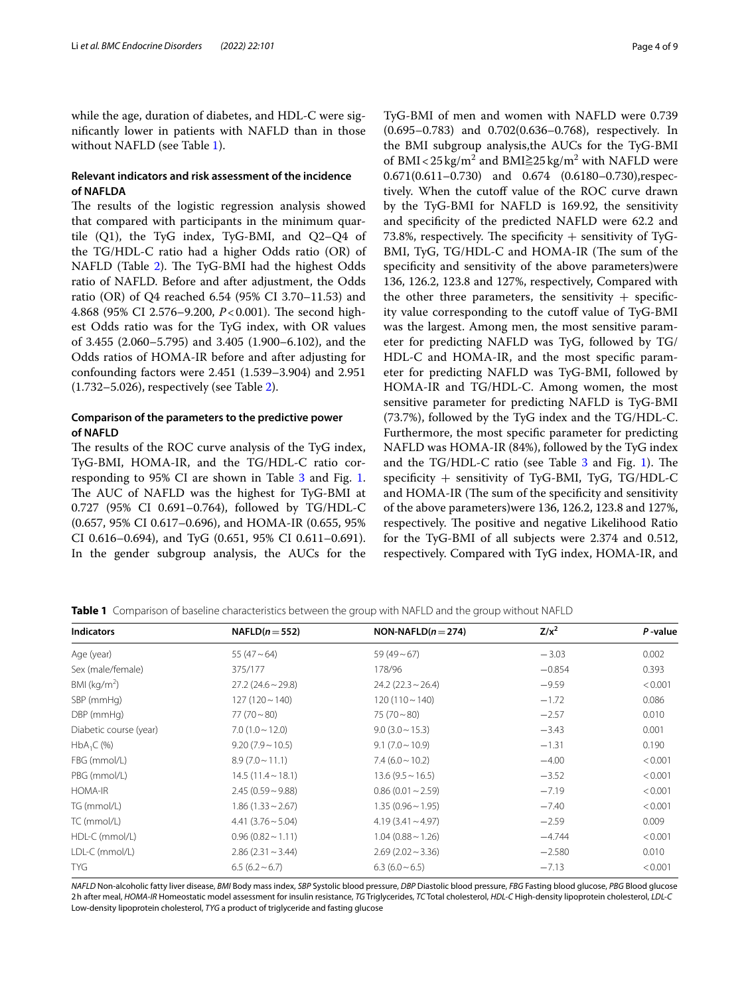while the age, duration of diabetes, and HDL-C were signifcantly lower in patients with NAFLD than in those without NAFLD (see Table [1\)](#page-3-0).

# **Relevant indicators and risk assessment of the incidence of NAFLDA**

The results of the logistic regression analysis showed that compared with participants in the minimum quartile (Q1), the TyG index, TyG-BMI, and Q2–Q4 of the TG/HDL-C ratio had a higher Odds ratio (OR) of NAFLD (Table [2](#page-4-0)). The TyG-BMI had the highest Odds ratio of NAFLD. Before and after adjustment, the Odds ratio (OR) of Q4 reached 6.54 (95% CI 3.70–11.53) and 4.868 (95% CI 2.576–9.200, *P*<0.001). The second highest Odds ratio was for the TyG index, with OR values of 3.455 (2.060–5.795) and 3.405 (1.900–6.102), and the Odds ratios of HOMA-IR before and after adjusting for confounding factors were 2.451 (1.539–3.904) and 2.951 (1.732–5.026), respectively (see Table [2\)](#page-4-0).

# **Comparison of the parameters to the predictive power of NAFLD**

The results of the ROC curve analysis of the TyG index, TyG-BMI, HOMA-IR, and the TG/HDL-C ratio cor-responding to 95% CI are shown in Table [3](#page-5-0) and Fig. [1](#page-6-0). The AUC of NAFLD was the highest for TyG-BMI at 0.727 (95% CI 0.691–0.764), followed by TG/HDL-C (0.657, 95% CI 0.617–0.696), and HOMA-IR (0.655, 95% CI 0.616–0.694), and TyG (0.651, 95% CI 0.611–0.691). In the gender subgroup analysis, the AUCs for the TyG-BMI of men and women with NAFLD were 0.739 (0.695–0.783) and 0.702(0.636–0.768), respectively. In the BMI subgroup analysis,the AUCs for the TyG-BMI of BMI<25 kg/m<sup>2</sup> and BMI $\geq$ 25 kg/m<sup>2</sup> with NAFLD were 0.671(0.611–0.730) and 0.674 (0.6180–0.730),respectively. When the cutoff value of the ROC curve drawn by the TyG-BMI for NAFLD is 169.92, the sensitivity and specifcity of the predicted NAFLD were 62.2 and 73.8%, respectively. The specificity  $+$  sensitivity of TyG-BMI, TyG, TG/HDL-C and HOMA-IR (The sum of the specifcity and sensitivity of the above parameters)were 136, 126.2, 123.8 and 127%, respectively, Compared with the other three parameters, the sensitivity  $+$  specificity value corresponding to the cutoff value of TyG-BMI was the largest. Among men, the most sensitive parameter for predicting NAFLD was TyG, followed by TG/ HDL-C and HOMA-IR, and the most specifc parameter for predicting NAFLD was TyG-BMI, followed by HOMA-IR and TG/HDL-C. Among women, the most sensitive parameter for predicting NAFLD is TyG-BMI (73.7%), followed by the TyG index and the TG/HDL-C. Furthermore, the most specifc parameter for predicting NAFLD was HOMA-IR (84%), followed by the TyG index and the  $TG/HDL-C$  ratio (see Table [3](#page-5-0) and Fig. [1\)](#page-6-0). The specifcity + sensitivity of TyG-BMI, TyG, TG/HDL-C and HOMA-IR (The sum of the specificity and sensitivity of the above parameters)were 136, 126.2, 123.8 and 127%, respectively. The positive and negative Likelihood Ratio for the TyG-BMI of all subjects were 2.374 and 0.512, respectively. Compared with TyG index, HOMA-IR, and

<span id="page-3-0"></span>**Table 1** Comparison of baseline characteristics between the group with NAFLD and the group without NAFLD

| <b>Indicators</b>      | $NAFLD(n=552)$            | $NON-NAFLD(n=274)$     | $Z/x^2$  | P-value |
|------------------------|---------------------------|------------------------|----------|---------|
| Age (year)             | 55 $(47 - 64)$            | $59(49-67)$            | $-3.03$  | 0.002   |
| Sex (male/female)      | 375/177                   | 178/96                 | $-0.854$ | 0.393   |
| BMI ( $kg/m2$ )        | $27.2(24.6 \sim 29.8)$    | $24.2(22.3 \sim 26.4)$ | $-9.59$  | < 0.001 |
| SBP (mmHg)             | $127(120 \sim 140)$       | $120(110 \sim 140)$    | $-1.72$  | 0.086   |
| DBP (mmHg)             | $77(70 \sim 80)$          | $75(70 \sim 80)$       | $-2.57$  | 0.010   |
| Diabetic course (year) | $7.0(1.0 \sim 12.0)$      | $9.0 (3.0 \sim 15.3)$  | $-3.43$  | 0.001   |
| $HbA_1C$ (%)           | $9.20(7.9 \sim 10.5)$     | $9.1 (7.0 \sim 10.9)$  | $-1.31$  | 0.190   |
| FBG (mmol/L)           | $8.9(7.0 \sim 11.1)$      | $7.4(6.0 \sim 10.2)$   | $-4.00$  | < 0.001 |
| PBG (mmol/L)           | $14.5(11.4 \sim 18.1)$    | $13.6(9.5 \sim 16.5)$  | $-3.52$  | < 0.001 |
| HOMA-IR                | $2.45(0.59 - 9.88)$       | $0.86(0.01 \sim 2.59)$ | $-7.19$  | < 0.001 |
| TG (mmol/L)            | $1.86(1.33 \sim 2.67)$    | $1.35(0.96 \sim 1.95)$ | $-7.40$  | < 0.001 |
| TC (mmol/L)            | $4.41(3.76 \sim 5.04)$    | $4.19(3.41 \sim 4.97)$ | $-2.59$  | 0.009   |
| HDL-C (mmol/L)         | $0.96(0.82 \sim 1.11)$    | $1.04(0.88 \sim 1.26)$ | $-4.744$ | < 0.001 |
| LDL-C (mmol/L)         | $2.86(2.31 \approx 3.44)$ |                        | $-2.580$ | 0.010   |
| <b>TYG</b>             | $6.5(6.2 \sim 6.7)$       | $6.3(6.0\sim6.5)$      | $-7.13$  | < 0.001 |

*NAFLD* Non-alcoholic fatty liver disease, *BMI* Body mass index, *SBP* Systolic blood pressure, *DBP* Diastolic blood pressure, *FBG* Fasting blood glucose, *PBG* Blood glucose 2h after meal, *HOMA-IR* Homeostatic model assessment for insulin resistance, *TG* Triglycerides, *TC* Total cholesterol, *HDL-C* High-density lipoprotein cholesterol, *LDL-C* Low-density lipoprotein cholesterol, *TYG* a product of triglyceride and fasting glucose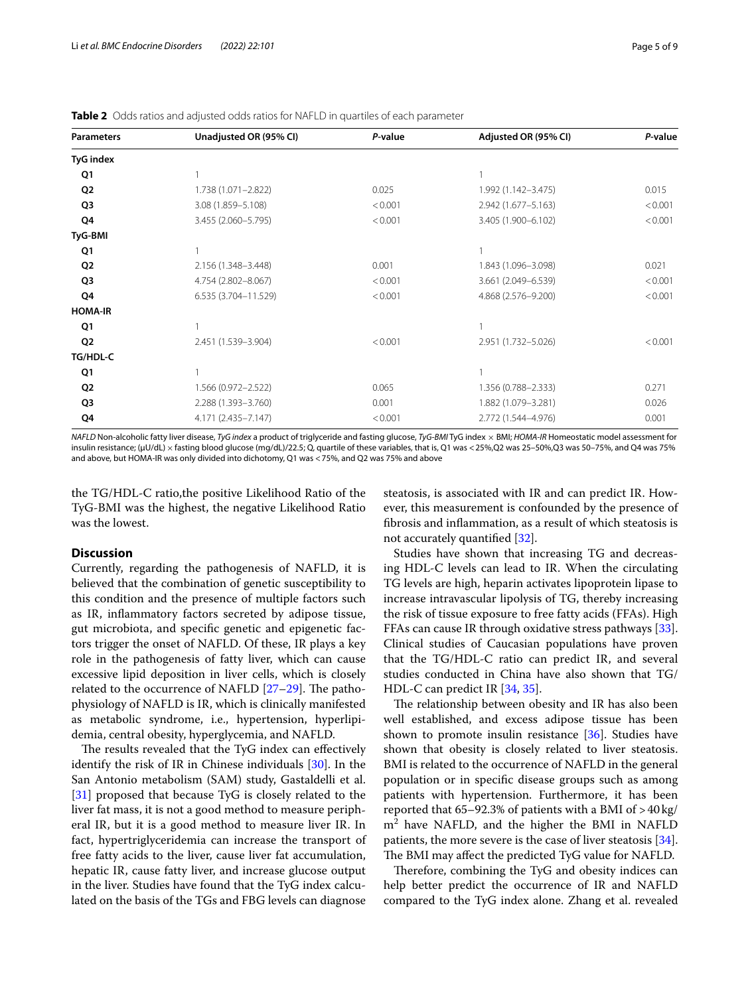<span id="page-4-0"></span>

| <b>Table 2</b> Odds ratios and adjusted odds ratios for NAFLD in quartiles of each parameter |  |  |
|----------------------------------------------------------------------------------------------|--|--|
|----------------------------------------------------------------------------------------------|--|--|

| <b>TyG</b> index                                                        |         |
|-------------------------------------------------------------------------|---------|
| Q1                                                                      |         |
| Q <sub>2</sub><br>1.738 (1.071-2.822)<br>0.025<br>1.992 (1.142-3.475)   | 0.015   |
| Q3<br>3.08 (1.859-5.108)<br>< 0.001<br>2.942 (1.677-5.163)              | < 0.001 |
| Q4<br>3.455 (2.060-5.795)<br>< 0.001<br>3.405 (1.900-6.102)             | < 0.001 |
| TyG-BMI                                                                 |         |
| Q1                                                                      |         |
| Q <sub>2</sub><br>2.156 (1.348-3.448)<br>0.001<br>1.843 (1.096-3.098)   | 0.021   |
| Q3<br>4.754 (2.802-8.067)<br>3.661 (2.049-6.539)<br>< 0.001             | < 0.001 |
| Q4<br>6.535 (3.704-11.529)<br>< 0.001<br>4.868 (2.576-9.200)            | < 0.001 |
| <b>HOMA-IR</b>                                                          |         |
| Q1<br>1                                                                 |         |
| Q <sub>2</sub><br>2.451 (1.539-3.904)<br>< 0.001<br>2.951 (1.732-5.026) | < 0.001 |
| TG/HDL-C                                                                |         |
| Q <sub>1</sub>                                                          |         |
| Q <sub>2</sub><br>1.566 (0.972-2.522)<br>0.065<br>1.356 (0.788-2.333)   | 0.271   |
| Q3<br>2.288 (1.393-3.760)<br>0.001<br>1.882 (1.079-3.281)               | 0.026   |
| Q4<br>4.171 (2.435-7.147)<br>< 0.001<br>2.772 (1.544-4.976)             | 0.001   |

*NAFLD* Non-alcoholic fatty liver disease, *TyG index* a product of triglyceride and fasting glucose, *TyG-BMI* TyG index × BMI; *HOMA-IR* Homeostatic model assessment for insulin resistance; (μU/dL) × fasting blood glucose (mg/dL)/22.5; Q, quartile of these variables, that is, Q1 was <25%,Q2 was 25-50%,Q3 was 50-75%, and Q4 was 75% and above, but HOMA-IR was only divided into dichotomy, Q1 was <75%, and Q2 was 75% and above

the TG/HDL-C ratio,the positive Likelihood Ratio of the TyG-BMI was the highest, the negative Likelihood Ratio was the lowest.

#### **Discussion**

Currently, regarding the pathogenesis of NAFLD, it is believed that the combination of genetic susceptibility to this condition and the presence of multiple factors such as IR, infammatory factors secreted by adipose tissue, gut microbiota, and specifc genetic and epigenetic factors trigger the onset of NAFLD. Of these, IR plays a key role in the pathogenesis of fatty liver, which can cause excessive lipid deposition in liver cells, which is closely related to the occurrence of NAFLD  $[27-29]$  $[27-29]$  $[27-29]$ . The pathophysiology of NAFLD is IR, which is clinically manifested as metabolic syndrome, i.e., hypertension, hyperlipidemia, central obesity, hyperglycemia, and NAFLD.

The results revealed that the TyG index can effectively identify the risk of IR in Chinese individuals [\[30](#page-8-17)]. In the San Antonio metabolism (SAM) study, Gastaldelli et al. [[31\]](#page-8-18) proposed that because TyG is closely related to the liver fat mass, it is not a good method to measure peripheral IR, but it is a good method to measure liver IR. In fact, hypertriglyceridemia can increase the transport of free fatty acids to the liver, cause liver fat accumulation, hepatic IR, cause fatty liver, and increase glucose output in the liver. Studies have found that the TyG index calculated on the basis of the TGs and FBG levels can diagnose

steatosis, is associated with IR and can predict IR. However, this measurement is confounded by the presence of fbrosis and infammation, as a result of which steatosis is not accurately quantifed [[32](#page-8-19)].

Studies have shown that increasing TG and decreasing HDL-C levels can lead to IR. When the circulating TG levels are high, heparin activates lipoprotein lipase to increase intravascular lipolysis of TG, thereby increasing the risk of tissue exposure to free fatty acids (FFAs). High FFAs can cause IR through oxidative stress pathways [\[33](#page-8-20)]. Clinical studies of Caucasian populations have proven that the TG/HDL-C ratio can predict IR, and several studies conducted in China have also shown that TG/ HDL-C can predict IR [[34,](#page-8-21) [35](#page-8-22)].

The relationship between obesity and IR has also been well established, and excess adipose tissue has been shown to promote insulin resistance [[36\]](#page-8-23). Studies have shown that obesity is closely related to liver steatosis. BMI is related to the occurrence of NAFLD in the general population or in specifc disease groups such as among patients with hypertension. Furthermore, it has been reported that 65–92.3% of patients with a BMI of >40kg/ m2 have NAFLD, and the higher the BMI in NAFLD patients, the more severe is the case of liver steatosis [\[34](#page-8-21)]. The BMI may affect the predicted TyG value for NAFLD.

Therefore, combining the TyG and obesity indices can help better predict the occurrence of IR and NAFLD compared to the TyG index alone. Zhang et al. revealed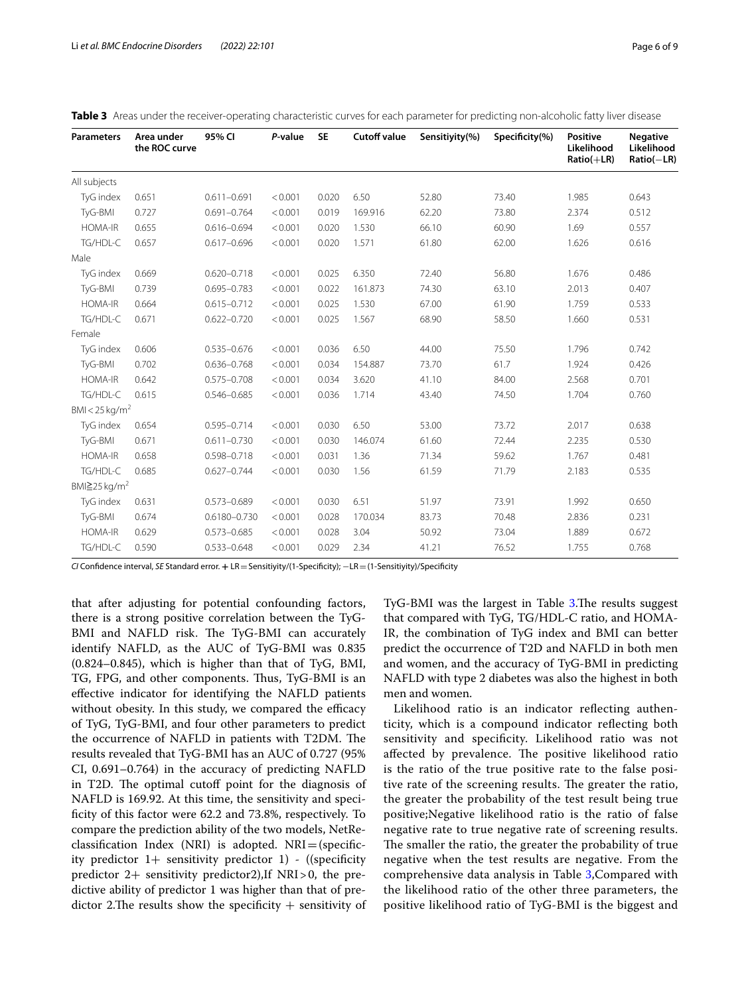| <b>Parameters</b>               | Area under<br>the ROC curve | 95% CI           | P-value | <b>SE</b> | <b>Cutoff value</b> | Sensitiyity(%) | Specificity(%) | <b>Positive</b><br>Likelihood<br>$Ratio(+LR)$ | <b>Negative</b><br>Likelihood<br>$Ratio(-LR)$ |
|---------------------------------|-----------------------------|------------------|---------|-----------|---------------------|----------------|----------------|-----------------------------------------------|-----------------------------------------------|
| All subjects                    |                             |                  |         |           |                     |                |                |                                               |                                               |
| TyG index                       | 0.651                       | $0.611 - 0.691$  | < 0.001 | 0.020     | 6.50                | 52.80          | 73.40          | 1.985                                         | 0.643                                         |
| TyG-BMI                         | 0.727                       | $0.691 - 0.764$  | < 0.001 | 0.019     | 169.916             | 62.20          | 73.80          | 2.374                                         | 0.512                                         |
| <b>HOMA-IR</b>                  | 0.655                       | $0.616 - 0.694$  | < 0.001 | 0.020     | 1.530               | 66.10          | 60.90          | 1.69                                          | 0.557                                         |
| TG/HDL-C                        | 0.657                       | $0.617 - 0.696$  | < 0.001 | 0.020     | 1.571               | 61.80          | 62.00          | 1.626                                         | 0.616                                         |
| Male                            |                             |                  |         |           |                     |                |                |                                               |                                               |
| TyG index                       | 0.669                       | $0.620 - 0.718$  | < 0.001 | 0.025     | 6.350               | 72.40          | 56.80          | 1.676                                         | 0.486                                         |
| TyG-BMI                         | 0.739                       | $0.695 - 0.783$  | < 0.001 | 0.022     | 161.873             | 74.30          | 63.10          | 2.013                                         | 0.407                                         |
| <b>HOMA-IR</b>                  | 0.664                       | $0.615 - 0.712$  | < 0.001 | 0.025     | 1.530               | 67.00          | 61.90          | 1.759                                         | 0.533                                         |
| TG/HDL-C                        | 0.671                       | $0.622 - 0.720$  | < 0.001 | 0.025     | 1.567               | 68.90          | 58.50          | 1.660                                         | 0.531                                         |
| Female                          |                             |                  |         |           |                     |                |                |                                               |                                               |
| TyG index                       | 0.606                       | $0.535 - 0.676$  | < 0.001 | 0.036     | 6.50                | 44.00          | 75.50          | 1.796                                         | 0.742                                         |
| TyG-BMI                         | 0.702                       | $0.636 - 0.768$  | < 0.001 | 0.034     | 154.887             | 73.70          | 61.7           | 1.924                                         | 0.426                                         |
| <b>HOMA-IR</b>                  | 0.642                       | $0.575 - 0.708$  | < 0.001 | 0.034     | 3.620               | 41.10          | 84.00          | 2.568                                         | 0.701                                         |
| TG/HDL-C                        | 0.615                       | 0.546-0.685      | < 0.001 | 0.036     | 1.714               | 43.40          | 74.50          | 1.704                                         | 0.760                                         |
| BMI < $25 \text{ kg/m}^2$       |                             |                  |         |           |                     |                |                |                                               |                                               |
| TyG index                       | 0.654                       | $0.595 - 0.714$  | < 0.001 | 0.030     | 6.50                | 53.00          | 73.72          | 2.017                                         | 0.638                                         |
| TyG-BMI                         | 0.671                       | $0.611 - 0.730$  | < 0.001 | 0.030     | 146.074             | 61.60          | 72.44          | 2.235                                         | 0.530                                         |
| <b>HOMA-IR</b>                  | 0.658                       | 0.598-0.718      | < 0.001 | 0.031     | 1.36                | 71.34          | 59.62          | 1.767                                         | 0.481                                         |
| TG/HDL-C                        | 0.685                       | $0.627 - 0.744$  | < 0.001 | 0.030     | 1.56                | 61.59          | 71.79          | 2.183                                         | 0.535                                         |
| BMI $\geq$ 25 kg/m <sup>2</sup> |                             |                  |         |           |                     |                |                |                                               |                                               |
| TyG index                       | 0.631                       | $0.573 - 0.689$  | < 0.001 | 0.030     | 6.51                | 51.97          | 73.91          | 1.992                                         | 0.650                                         |
| TyG-BMI                         | 0.674                       | $0.6180 - 0.730$ | < 0.001 | 0.028     | 170.034             | 83.73          | 70.48          | 2.836                                         | 0.231                                         |
| <b>HOMA-IR</b>                  | 0.629                       | $0.573 - 0.685$  | < 0.001 | 0.028     | 3.04                | 50.92          | 73.04          | 1.889                                         | 0.672                                         |
| TG/HDL-C                        | 0.590                       | $0.533 - 0.648$  | < 0.001 | 0.029     | 2.34                | 41.21          | 76.52          | 1.755                                         | 0.768                                         |

<span id="page-5-0"></span>

*CI* Confdence interval, *SE* Standard error. **+** LR=Sensitiyity/(1-Specifcity); −LR=(1-Sensitiyity)/Specifcity

that after adjusting for potential confounding factors, there is a strong positive correlation between the TyG-BMI and NAFLD risk. The TyG-BMI can accurately identify NAFLD, as the AUC of TyG-BMI was 0.835 (0.824–0.845), which is higher than that of TyG, BMI, TG, FPG, and other components. Thus, TyG-BMI is an efective indicator for identifying the NAFLD patients without obesity. In this study, we compared the efficacy of TyG, TyG-BMI, and four other parameters to predict the occurrence of NAFLD in patients with T2DM. The results revealed that TyG-BMI has an AUC of 0.727 (95% CI, 0.691–0.764) in the accuracy of predicting NAFLD in T2D. The optimal cutoff point for the diagnosis of NAFLD is 169.92. At this time, the sensitivity and specificity of this factor were 62.2 and 73.8%, respectively. To compare the prediction ability of the two models, NetReclassification Index (NRI) is adopted.  $NRI = (specific$ ity predictor  $1+$  sensitivity predictor  $1)$  - ((specificity predictor 2+ sensitivity predictor2),If NRI>0, the predictive ability of predictor 1 was higher than that of predictor 2.The results show the specificity  $+$  sensitivity of

TyG-BMI was the largest in Table [3](#page-5-0). The results suggest that compared with TyG, TG/HDL-C ratio, and HOMA-IR, the combination of TyG index and BMI can better predict the occurrence of T2D and NAFLD in both men and women, and the accuracy of TyG-BMI in predicting NAFLD with type 2 diabetes was also the highest in both men and women.

Likelihood ratio is an indicator refecting authenticity, which is a compound indicator refecting both sensitivity and specifcity. Likelihood ratio was not affected by prevalence. The positive likelihood ratio is the ratio of the true positive rate to the false positive rate of the screening results. The greater the ratio, the greater the probability of the test result being true positive;Negative likelihood ratio is the ratio of false negative rate to true negative rate of screening results. The smaller the ratio, the greater the probability of true negative when the test results are negative. From the comprehensive data analysis in Table [3](#page-5-0),Compared with the likelihood ratio of the other three parameters, the positive likelihood ratio of TyG-BMI is the biggest and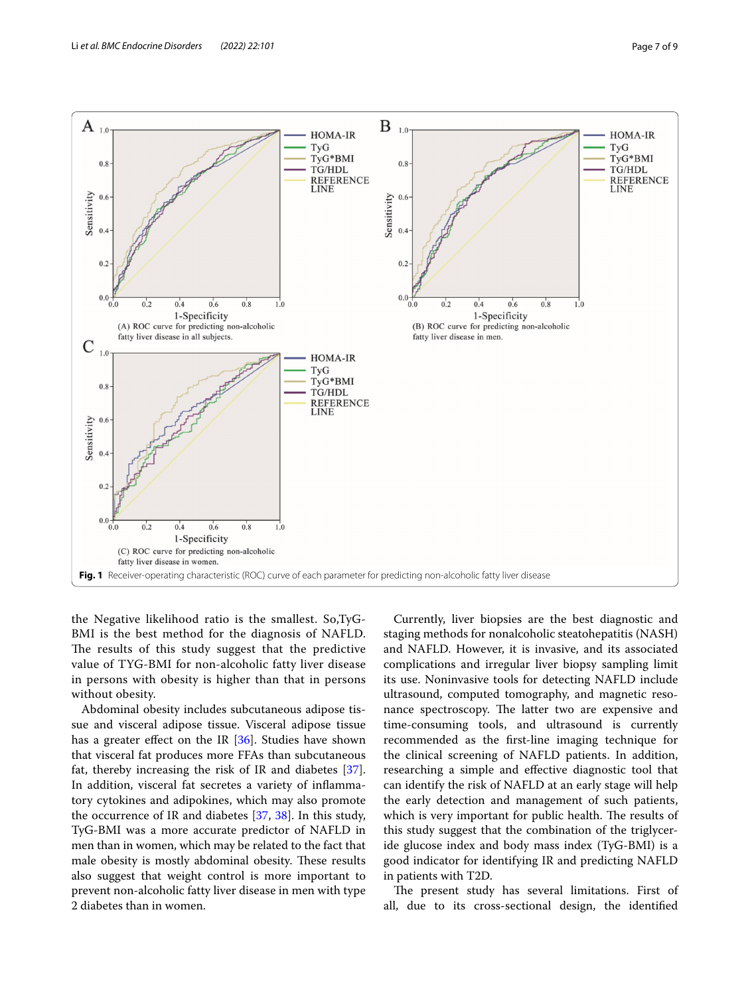

<span id="page-6-0"></span>the Negative likelihood ratio is the smallest. So,TyG-BMI is the best method for the diagnosis of NAFLD. The results of this study suggest that the predictive value of TYG-BMI for non-alcoholic fatty liver disease in persons with obesity is higher than that in persons without obesity.

Abdominal obesity includes subcutaneous adipose tissue and visceral adipose tissue. Visceral adipose tissue has a greater effect on the IR [[36\]](#page-8-23). Studies have shown that visceral fat produces more FFAs than subcutaneous fat, thereby increasing the risk of IR and diabetes [\[37](#page-8-24)]. In addition, visceral fat secretes a variety of infammatory cytokines and adipokines, which may also promote the occurrence of IR and diabetes [\[37](#page-8-24), [38](#page-8-25)]. In this study, TyG-BMI was a more accurate predictor of NAFLD in men than in women, which may be related to the fact that male obesity is mostly abdominal obesity. These results also suggest that weight control is more important to prevent non-alcoholic fatty liver disease in men with type 2 diabetes than in women.

Currently, liver biopsies are the best diagnostic and staging methods for nonalcoholic steatohepatitis (NASH) and NAFLD. However, it is invasive, and its associated complications and irregular liver biopsy sampling limit its use. Noninvasive tools for detecting NAFLD include ultrasound, computed tomography, and magnetic resonance spectroscopy. The latter two are expensive and time-consuming tools, and ultrasound is currently recommended as the frst-line imaging technique for the clinical screening of NAFLD patients. In addition, researching a simple and efective diagnostic tool that can identify the risk of NAFLD at an early stage will help the early detection and management of such patients, which is very important for public health. The results of this study suggest that the combination of the triglyceride glucose index and body mass index (TyG-BMI) is a good indicator for identifying IR and predicting NAFLD in patients with T2D.

The present study has several limitations. First of all, due to its cross-sectional design, the identifed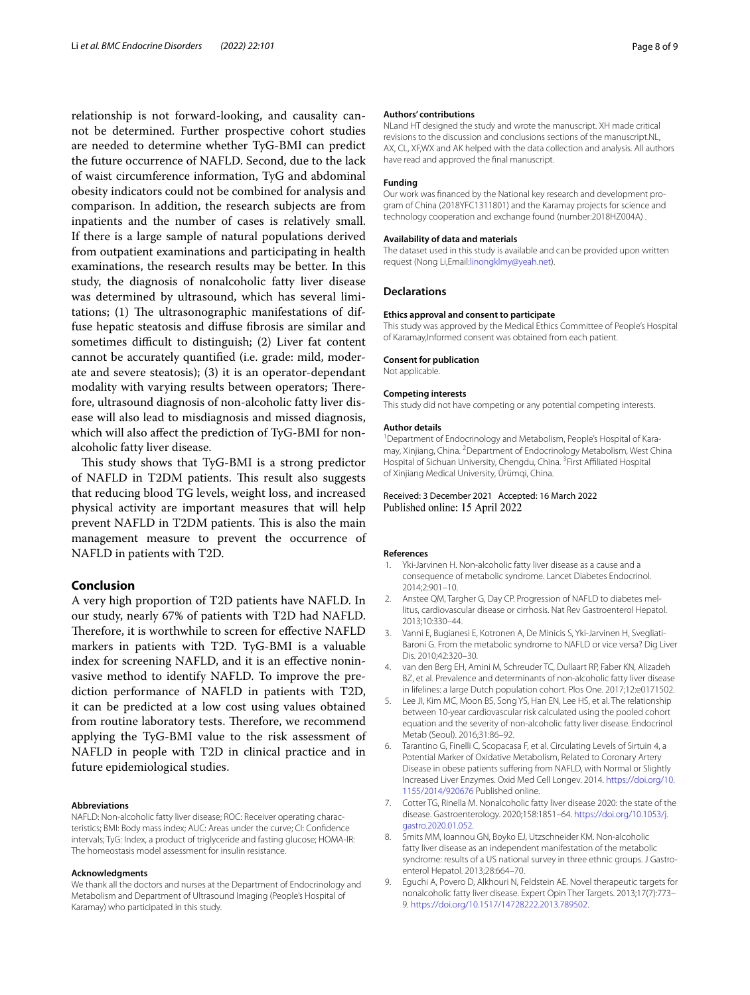relationship is not forward-looking, and causality cannot be determined. Further prospective cohort studies are needed to determine whether TyG-BMI can predict the future occurrence of NAFLD. Second, due to the lack of waist circumference information, TyG and abdominal obesity indicators could not be combined for analysis and comparison. In addition, the research subjects are from inpatients and the number of cases is relatively small. If there is a large sample of natural populations derived from outpatient examinations and participating in health examinations, the research results may be better. In this study, the diagnosis of nonalcoholic fatty liver disease was determined by ultrasound, which has several limitations;  $(1)$  The ultrasonographic manifestations of diffuse hepatic steatosis and difuse fbrosis are similar and sometimes difficult to distinguish; (2) Liver fat content cannot be accurately quantifed (i.e. grade: mild, moderate and severe steatosis); (3) it is an operator-dependant modality with varying results between operators; Therefore, ultrasound diagnosis of non-alcoholic fatty liver disease will also lead to misdiagnosis and missed diagnosis, which will also afect the prediction of TyG-BMI for nonalcoholic fatty liver disease.

This study shows that TyG-BMI is a strong predictor of NAFLD in T2DM patients. This result also suggests that reducing blood TG levels, weight loss, and increased physical activity are important measures that will help prevent NAFLD in T2DM patients. This is also the main management measure to prevent the occurrence of NAFLD in patients with T2D.

# **Conclusion**

A very high proportion of T2D patients have NAFLD. In our study, nearly 67% of patients with T2D had NAFLD. Therefore, it is worthwhile to screen for effective NAFLD markers in patients with T2D. TyG-BMI is a valuable index for screening NAFLD, and it is an efective noninvasive method to identify NAFLD. To improve the prediction performance of NAFLD in patients with T2D, it can be predicted at a low cost using values obtained from routine laboratory tests. Therefore, we recommend applying the TyG-BMI value to the risk assessment of NAFLD in people with T2D in clinical practice and in future epidemiological studies.

#### **Abbreviations**

NAFLD: Non-alcoholic fatty liver disease; ROC: Receiver operating characteristics; BMI: Body mass index; AUC: Areas under the curve; CI: Confdence intervals; TyG: Index, a product of triglyceride and fasting glucose; HOMA-IR: The homeostasis model assessment for insulin resistance.

#### **Acknowledgments**

We thank all the doctors and nurses at the Department of Endocrinology and Metabolism and Department of Ultrasound Imaging (People's Hospital of Karamay) who participated in this study.

#### **Authors' contributions**

NLand HT designed the study and wrote the manuscript. XH made critical revisions to the discussion and conclusions sections of the manuscript.NL, AX, CL, XF,WX and AK helped with the data collection and analysis. All authors have read and approved the fnal manuscript.

#### **Funding**

Our work was fnanced by the National key research and development program of China (2018YFC1311801) and the Karamay projects for science and technology cooperation and exchange found (number:2018HZ004A) .

#### **Availability of data and materials**

The dataset used in this study is available and can be provided upon written request (Nong Li,Email[:linongklmy@yeah.net\)](linongklmy@yeah.net).

#### **Declarations**

#### **Ethics approval and consent to participate**

This study was approved by the Medical Ethics Committee of People's Hospital of Karamay,Informed consent was obtained from each patient.

#### **Consent for publication**

Not applicable.

#### **Competing interests**

This study did not have competing or any potential competing interests.

#### **Author details**

<sup>1</sup> Department of Endocrinology and Metabolism, People's Hospital of Karamay, Xinjiang, China. <sup>2</sup> Department of Endocrinology Metabolism, West China Hospital of Sichuan University, Chengdu, China. <sup>3</sup> First Affiliated Hospital of Xinjiang Medical University, Ürümqi, China.

#### Received: 3 December 2021 Accepted: 16 March 2022 Published online: 15 April 2022

#### **References**

- <span id="page-7-0"></span>1. Yki-Jarvinen H. Non-alcoholic fatty liver disease as a cause and a consequence of metabolic syndrome. Lancet Diabetes Endocrinol. 2014;2:901–10.
- 2. Anstee QM, Targher G, Day CP. Progression of NAFLD to diabetes mellitus, cardiovascular disease or cirrhosis. Nat Rev Gastroenterol Hepatol. 2013;10:330–44.
- 3. Vanni E, Bugianesi E, Kotronen A, De Minicis S, Yki-Jarvinen H, Svegliati-Baroni G. From the metabolic syndrome to NAFLD or vice versa? Dig Liver Dis. 2010;42:320–30.
- 4. van den Berg EH, Amini M, Schreuder TC, Dullaart RP, Faber KN, Alizadeh BZ, et al. Prevalence and determinants of non-alcoholic fatty liver disease in lifelines: a large Dutch population cohort. Plos One. 2017;12:e0171502.
- <span id="page-7-1"></span>5. Lee JI, Kim MC, Moon BS, Song YS, Han EN, Lee HS, et al. The relationship between 10-year cardiovascular risk calculated using the pooled cohort equation and the severity of non-alcoholic fatty liver disease. Endocrinol Metab (Seoul). 2016;31:86–92.
- <span id="page-7-2"></span>6. Tarantino G, Finelli C, Scopacasa F, et al. Circulating Levels of Sirtuin 4, a Potential Marker of Oxidative Metabolism, Related to Coronary Artery Disease in obese patients sufering from NAFLD, with Normal or Slightly Increased Liver Enzymes. Oxid Med Cell Longev. 2014. [https://doi.org/10.](https://doi.org/10.1155/2014/920676) [1155/2014/920676](https://doi.org/10.1155/2014/920676) Published online.
- <span id="page-7-3"></span>7. Cotter TG, Rinella M. Nonalcoholic fatty liver disease 2020: the state of the disease. Gastroenterology. 2020;158:1851–64. [https://doi.org/10.1053/j.](https://doi.org/10.1053/j.gastro.2020.01.052) [gastro.2020.01.052](https://doi.org/10.1053/j.gastro.2020.01.052).
- <span id="page-7-4"></span>8. Smits MM, Ioannou GN, Boyko EJ, Utzschneider KM. Non-alcoholic fatty liver disease as an independent manifestation of the metabolic syndrome: results of a US national survey in three ethnic groups. J Gastroenterol Hepatol. 2013;28:664–70.
- <span id="page-7-5"></span>9. Eguchi A, Povero D, Alkhouri N, Feldstein AE. Novel therapeutic targets for nonalcoholic fatty liver disease. Expert Opin Ther Targets. 2013;17(7):773– 9. [https://doi.org/10.1517/14728222.2013.789502.](https://doi.org/10.1517/14728222.2013.789502)